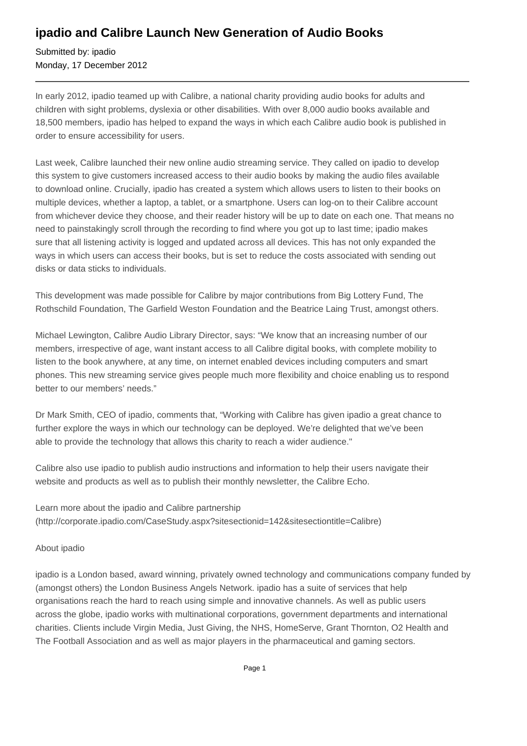## **ipadio and Calibre Launch New Generation of Audio Books**

Submitted by: ipadio Monday, 17 December 2012

In early 2012, ipadio teamed up with Calibre, a national charity providing audio books for adults and children with sight problems, dyslexia or other disabilities. With over 8,000 audio books available and 18,500 members, ipadio has helped to expand the ways in which each Calibre audio book is published in order to ensure accessibility for users.

Last week, Calibre launched their new online audio streaming service. They called on ipadio to develop this system to give customers increased access to their audio books by making the audio files available to download online. Crucially, ipadio has created a system which allows users to listen to their books on multiple devices, whether a laptop, a tablet, or a smartphone. Users can log-on to their Calibre account from whichever device they choose, and their reader history will be up to date on each one. That means no need to painstakingly scroll through the recording to find where you got up to last time; ipadio makes sure that all listening activity is logged and updated across all devices. This has not only expanded the ways in which users can access their books, but is set to reduce the costs associated with sending out disks or data sticks to individuals.

This development was made possible for Calibre by major contributions from Big Lottery Fund, The Rothschild Foundation, The Garfield Weston Foundation and the Beatrice Laing Trust, amongst others.

Michael Lewington, Calibre Audio Library Director, says: "We know that an increasing number of our members, irrespective of age, want instant access to all Calibre digital books, with complete mobility to listen to the book anywhere, at any time, on internet enabled devices including computers and smart phones. This new streaming service gives people much more flexibility and choice enabling us to respond better to our members' needs."

Dr Mark Smith, CEO of ipadio, comments that, "Working with Calibre has given ipadio a great chance to further explore the ways in which our technology can be deployed. We're delighted that we've been able to provide the technology that allows this charity to reach a wider audience."

Calibre also use ipadio to publish audio instructions and information to help their users navigate their website and products as well as to publish their monthly newsletter, the Calibre Echo.

Learn more about the ipadio and Calibre partnership (http://corporate.ipadio.com/CaseStudy.aspx?sitesectionid=142&sitesectiontitle=Calibre)

About ipadio

ipadio is a London based, award winning, privately owned technology and communications company funded by (amongst others) the London Business Angels Network. ipadio has a suite of services that help organisations reach the hard to reach using simple and innovative channels. As well as public users across the globe, ipadio works with multinational corporations, government departments and international charities. Clients include Virgin Media, Just Giving, the NHS, HomeServe, Grant Thornton, O2 Health and The Football Association and as well as major players in the pharmaceutical and gaming sectors.